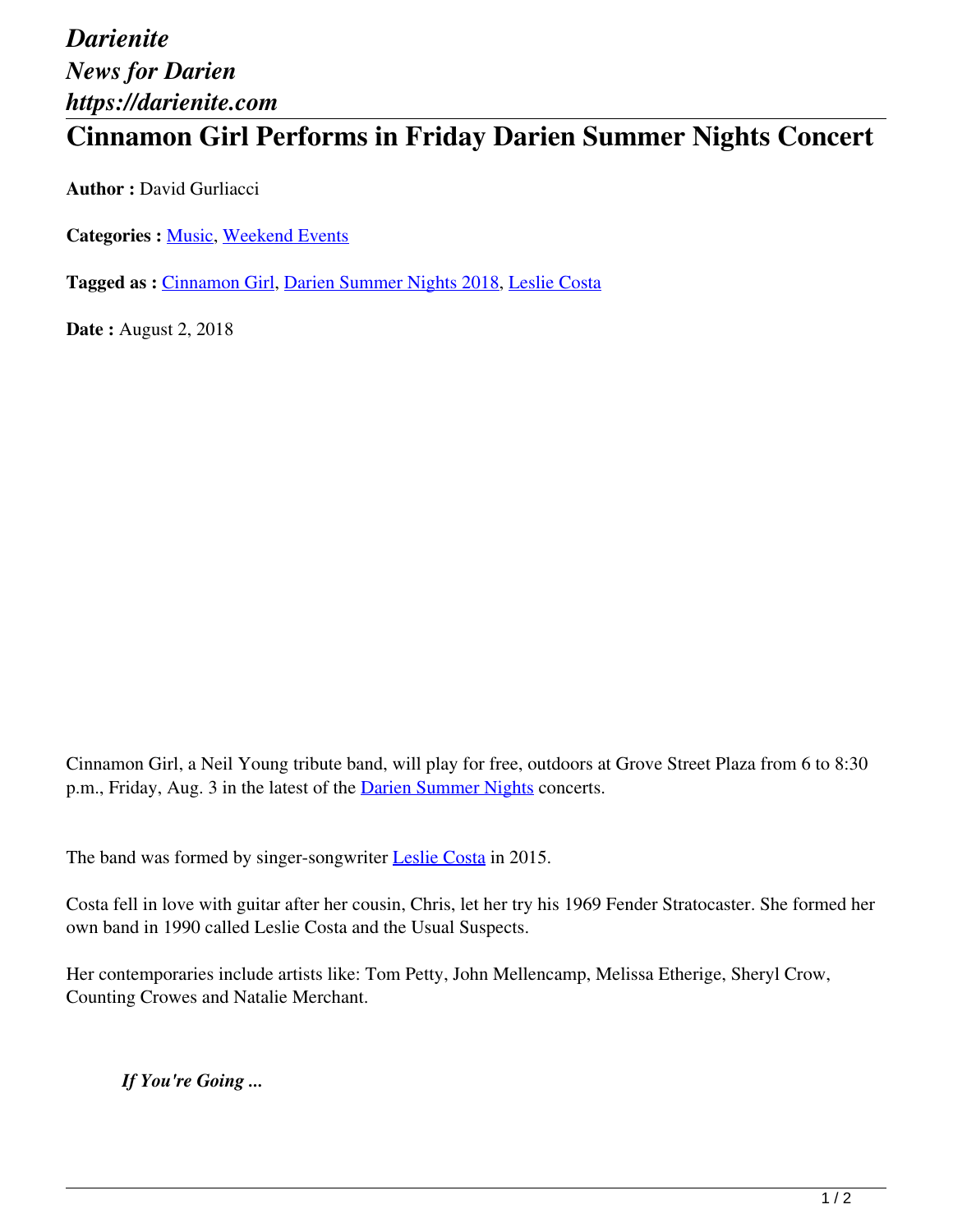## *Darienite News for Darien https://darienite.com*

## **Cinnamon Girl Performs in Friday Darien Summer Nights Concert**

**Author :** David Gurliacci

**Categories :** [Music](https://darienite.com/category/arts-entertainment/music), Weekend Events

**Tagged as :** Cinnamon Girl, Darien Summer Nights 2018, Leslie Costa

**Date :** August 2, 2018

Cinnamon Girl, a Neil Young tribute band, will play for free, outdoors at Grove Street Plaza from 6 to 8:30 p.m., Friday, Aug. 3 in the latest of the **Darien Summer Nights** concerts.

The band was formed by singer-songwriter **Leslie Costa** in 2015.

Costa fell in love with guitar after her cousin, Chris, let her try his 1969 Fender Stratocaster. She formed her own band in 1990 called Leslie Costa and the Usual Suspects.

Her contemporaries include artists like: Tom Petty, John Mellencamp, Melissa Etherige, Sheryl Crow, Counting Crowes and Natalie Merchant.

*If You're Going ...*